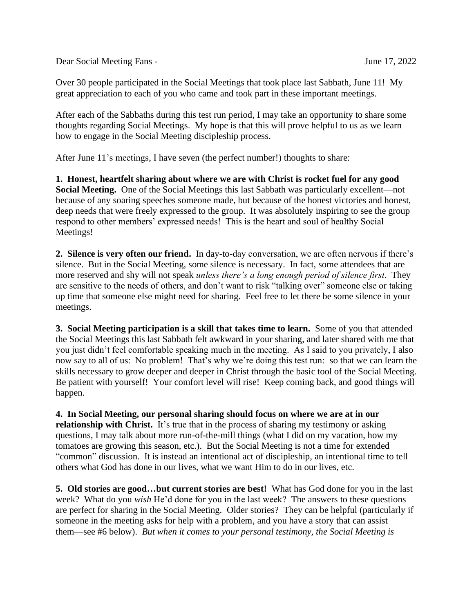Dear Social Meeting Fans - June 17, 2022

Over 30 people participated in the Social Meetings that took place last Sabbath, June 11! My great appreciation to each of you who came and took part in these important meetings.

After each of the Sabbaths during this test run period, I may take an opportunity to share some thoughts regarding Social Meetings. My hope is that this will prove helpful to us as we learn how to engage in the Social Meeting discipleship process.

After June 11's meetings, I have seven (the perfect number!) thoughts to share:

**1. Honest, heartfelt sharing about where we are with Christ is rocket fuel for any good Social Meeting.** One of the Social Meetings this last Sabbath was particularly excellent—not because of any soaring speeches someone made, but because of the honest victories and honest, deep needs that were freely expressed to the group. It was absolutely inspiring to see the group respond to other members' expressed needs! This is the heart and soul of healthy Social Meetings!

**2. Silence is very often our friend.** In day-to-day conversation, we are often nervous if there's silence. But in the Social Meeting, some silence is necessary. In fact, some attendees that are more reserved and shy will not speak *unless there's a long enough period of silence first*. They are sensitive to the needs of others, and don't want to risk "talking over" someone else or taking up time that someone else might need for sharing. Feel free to let there be some silence in your meetings.

**3. Social Meeting participation is a skill that takes time to learn.** Some of you that attended the Social Meetings this last Sabbath felt awkward in your sharing, and later shared with me that you just didn't feel comfortable speaking much in the meeting. As I said to you privately, I also now say to all of us: No problem! That's why we're doing this test run: so that we can learn the skills necessary to grow deeper and deeper in Christ through the basic tool of the Social Meeting. Be patient with yourself! Your comfort level will rise! Keep coming back, and good things will happen.

**4. In Social Meeting, our personal sharing should focus on where we are at in our relationship with Christ.** It's true that in the process of sharing my testimony or asking questions, I may talk about more run-of-the-mill things (what I did on my vacation, how my tomatoes are growing this season, etc.). But the Social Meeting is not a time for extended "common" discussion. It is instead an intentional act of discipleship, an intentional time to tell others what God has done in our lives, what we want Him to do in our lives, etc.

**5. Old stories are good…but current stories are best!** What has God done for you in the last week? What do you *wish* He'd done for you in the last week? The answers to these questions are perfect for sharing in the Social Meeting. Older stories? They can be helpful (particularly if someone in the meeting asks for help with a problem, and you have a story that can assist them—see #6 below). *But when it comes to your personal testimony, the Social Meeting is*